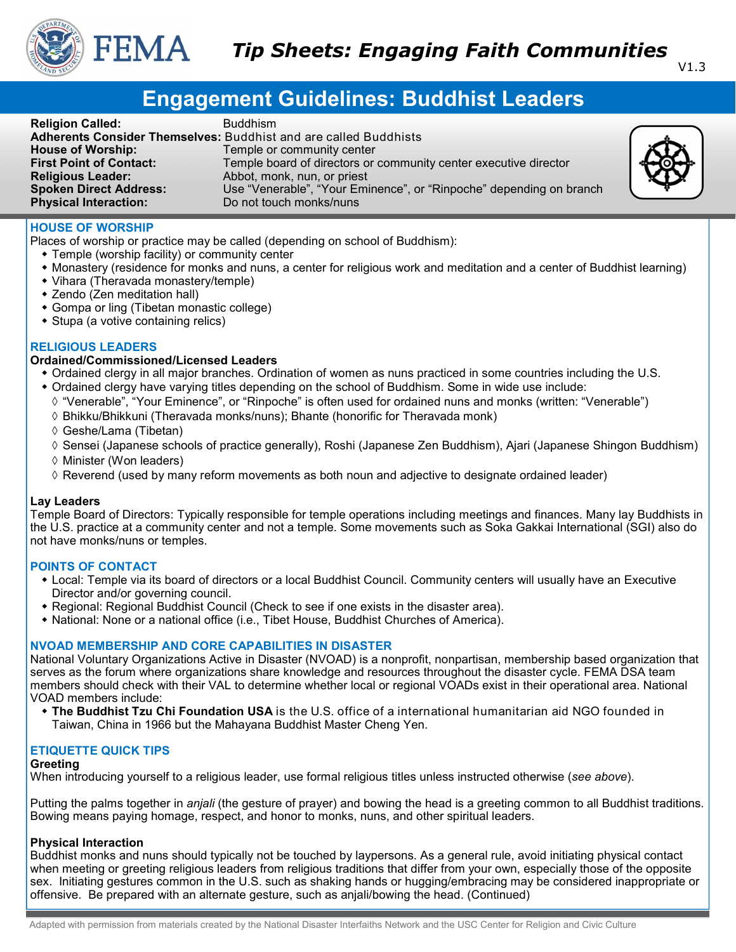

# **Engagement Guidelines: Buddhist Leaders**

| <b>Religion Called:</b><br><b>House of Worship:</b><br><b>First Point of Contact:</b><br><b>Religious Leader:</b><br><b>Spoken Direct Address:</b><br><b>Physical Interaction:</b> | <b>Buddhism</b><br><b>Adherents Consider Themselves: Buddhist and are called Buddhists</b><br>Temple or community center<br>Temple board of directors or community center executive director<br>Abbot, monk, nun, or priest<br>Use "Venerable", "Your Eminence", or "Rinpoche" depending on branch<br>Do not touch monks/nuns |  |
|------------------------------------------------------------------------------------------------------------------------------------------------------------------------------------|-------------------------------------------------------------------------------------------------------------------------------------------------------------------------------------------------------------------------------------------------------------------------------------------------------------------------------|--|
|------------------------------------------------------------------------------------------------------------------------------------------------------------------------------------|-------------------------------------------------------------------------------------------------------------------------------------------------------------------------------------------------------------------------------------------------------------------------------------------------------------------------------|--|

# **HOUSE OF WORSHIP**

Places of worship or practice may be called (depending on school of Buddhism):

- Temple (worship facility) or community center
- Monastery (residence for monks and nuns, a center for religious work and meditation and a center of Buddhist learning)
- Vihara (Theravada monastery/temple)
- Zendo (Zen meditation hall)
- Gompa or ling (Tibetan monastic college)
- Stupa (a votive containing relics)

# **RELIGIOUS LEADERS**

# **Ordained/Commissioned/Licensed Leaders**

- Ordained clergy in all major branches. Ordination of women as nuns practiced in some countries including the U.S.
- Ordained clergy have varying titles depending on the school of Buddhism. Some in wide use include:
- "Venerable", "Your Eminence", or "Rinpoche" is often used for ordained nuns and monks (written: "Venerable")
- Bhikku/Bhikkuni (Theravada monks/nuns); Bhante (honorific for Theravada monk)
- Geshe/Lama (Tibetan)
- $\Diamond$  Sensei (Japanese schools of practice generally), Roshi (Japanese Zen Buddhism), Ajari (Japanese Shingon Buddhism)
- $\Diamond$  Minister (Won leaders)
- $\Diamond$  Reverend (used by many reform movements as both noun and adjective to designate ordained leader)

#### **Lay Leaders**

Temple Board of Directors: Typically responsible for temple operations including meetings and finances. Many lay Buddhists in the U.S. practice at a community center and not a temple. Some movements such as Soka Gakkai International (SGI) also do not have monks/nuns or temples.

# **POINTS OF CONTACT**

- Local: Temple via its board of directors or a local Buddhist Council. Community centers will usually have an Executive Director and/or governing council.
- Regional: Regional Buddhist Council (Check to see if one exists in the disaster area).
- National: None or a national office (i.e., Tibet House, Buddhist Churches of America).

# **NVOAD MEMBERSHIP AND CORE CAPABILITIES IN DISASTER**

National Voluntary Organizations Active in Disaster (NVOAD) is a nonprofit, nonpartisan, membership based organization that serves as the forum where organizations share knowledge and resources throughout the disaster cycle. FEMA DSA team members should check with their VAL to determine whether local or regional VOADs exist in their operational area. National VOAD members include:

 **The Buddhist Tzu Chi Foundation USA** is the U.S. office of a international humanitarian aid NGO founded in Taiwan, China in 1966 but the Mahayana Buddhist Master Cheng Yen.

# **ETIQUETTE QUICK TIPS**

#### **Greeting**

When introducing yourself to a religious leader, use formal religious titles unless instructed otherwise (*see above*).

Putting the palms together in *anjali* (the gesture of prayer) and bowing the head is a greeting common to all Buddhist traditions. Bowing means paying homage, respect, and honor to monks, nuns, and other spiritual leaders.

#### **Physical Interaction**

Buddhist monks and nuns should typically not be touched by laypersons. As a general rule, avoid initiating physical contact when meeting or greeting religious leaders from religious traditions that differ from your own, especially those of the opposite sex. Initiating gestures common in the U.S. such as shaking hands or hugging/embracing may be considered inappropriate or offensive. Be prepared with an alternate gesture, such as anjali/bowing the head. (Continued)